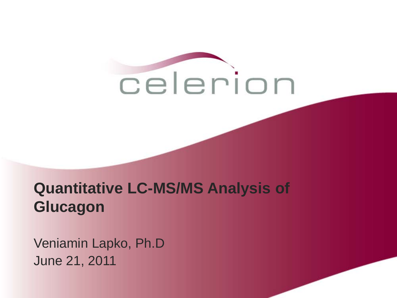

#### **Quantitative LC-MS/MS Analysis of Glucagon**

Veniamin Lapko, Ph.D June 21, 2011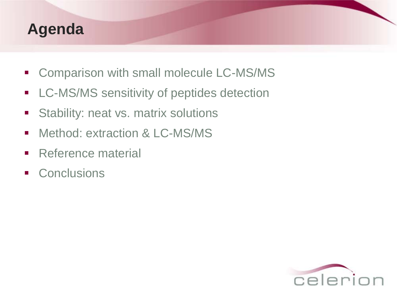#### **Agenda**

- **Comparison with small molecule LC-MS/MS**
- **-** LC-MS/MS sensitivity of peptides detection
- **Stability: neat vs. matrix solutions**
- **Nethod: extraction & LC-MS/MS**
- **Reference material**
- **Conclusions**

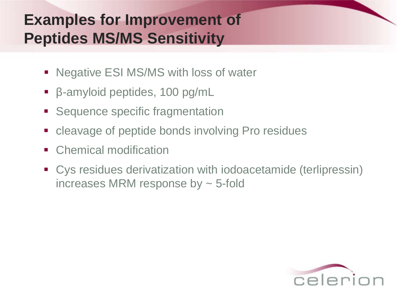# **Examples for Improvement of Peptides MS/MS Sensitivity**

- Negative ESI MS/MS with loss of water
- β-amyloid peptides, 100 pg/mL
- Sequence specific fragmentation
- cleavage of peptide bonds involving Pro residues
- Chemical modification
- Cys residues derivatization with iodoacetamide (terlipressin) increases MRM response by  $\sim$  5-fold

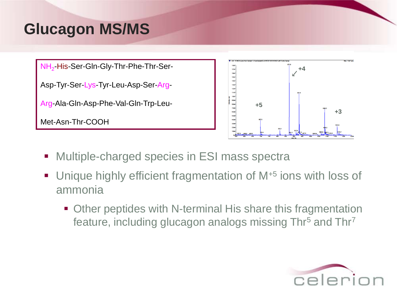# **Glucagon MS/MS**

NH<sub>2</sub>-His-Ser-Gln-Gly-Thr-Phe-Thr-Ser-

Asp-Tyr-Ser-Lys-Tyr-Leu-Asp-Ser-Arg-

Arg-Ala-Gln-Asp-Phe-Val-Gln-Trp-Leu-

Met-Asn-Thr-COOH



- Multiple-charged species in ESI mass spectra
- Unique highly efficient fragmentation of M<sup>+5</sup> ions with loss of ammonia
	- **Other peptides with N-terminal His share this fragmentation** feature, including glucagon analogs missing Thr<sup>5</sup> and Thr<sup>7</sup>

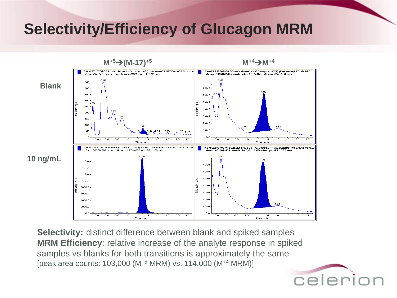## **Selectivity/Efficiency of Glucagon MRM**



**Selectivity:** distinct difference between blank and spiked samples **MRM Efficiency**: relative increase of the analyte response in spiked samples vs blanks for both transitions is approximately the same [peak area counts: 103,000 (M+5 MRM) vs. 114,000 (M+4 MRM)]

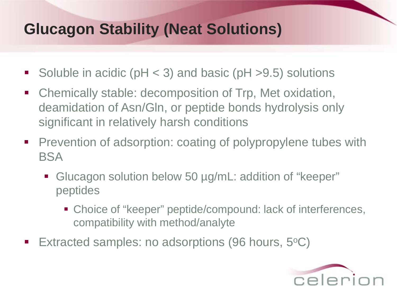# **Glucagon Stability (Neat Solutions)**

- Soluble in acidic ( $pH < 3$ ) and basic ( $pH > 9.5$ ) solutions
- Chemically stable: decomposition of Trp, Met oxidation, deamidation of Asn/Gln, or peptide bonds hydrolysis only significant in relatively harsh conditions
- **Prevention of adsorption: coating of polypropylene tubes with** BSA
	- Glucagon solution below 50 µg/mL: addition of "keeper" peptides
		- Choice of "keeper" peptide/compound: lack of interferences, compatibility with method/analyte
- Extracted samples: no adsorptions (96 hours,  $5^{\circ}C$ )

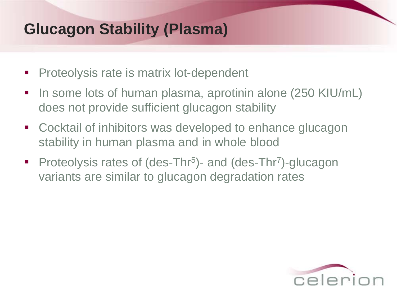# **Glucagon Stability (Plasma)**

- **Proteolysis rate is matrix lot-dependent**
- In some lots of human plasma, aprotinin alone (250 KIU/mL) does not provide sufficient glucagon stability
- **E** Cocktail of inhibitors was developed to enhance glucagon stability in human plasma and in whole blood
- Proteolysis rates of (des-Thr<sup>5</sup>)- and (des-Thr<sup>7</sup>)-glucagon variants are similar to glucagon degradation rates

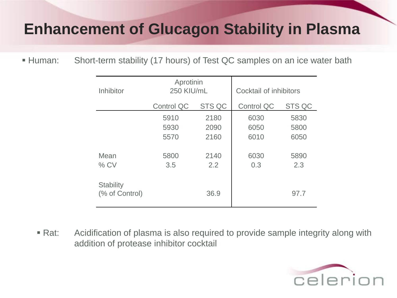#### **Enhancement of Glucagon Stability in Plasma**

Short-term stability (17 hours) of Test QC samples on an ice water bath **Human:** 

| Inhibitor                          | Aprotinin<br>250 KIU/mL |               | Cocktail of inhibitors |               |
|------------------------------------|-------------------------|---------------|------------------------|---------------|
|                                    | <b>Control QC</b>       | <b>STS QC</b> | <b>Control QC</b>      | <b>STS QC</b> |
|                                    | 5910                    | 2180          | 6030                   | 5830          |
|                                    | 5930                    | 2090          | 6050                   | 5800          |
|                                    | 5570                    | 2160          | 6010                   | 6050          |
|                                    |                         |               |                        |               |
| Mean                               | 5800                    | 2140          | 6030                   | 5890          |
| $%$ CV                             | 3.5                     | 2.2           | 0.3                    | 2.3           |
| <b>Stability</b><br>(% of Control) |                         | 36.9          |                        | 97.7          |

Acidification of plasma is also required to provide sample integrity along with addition of protease inhibitor cocktail  $\blacksquare$  Rat:

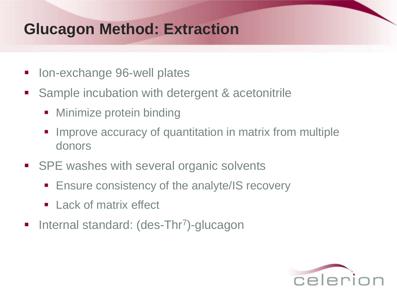## **Glucagon Method: Extraction**

- Ion-exchange 96-well plates
- Sample incubation with detergent & acetonitrile
	- Minimize protein binding
	- **IMPROVE ACCUTACY of quantitation in matrix from multiple** donors
- SPE washes with several organic solvents
	- **Ensure consistency of the analyte/IS recovery**
	- **E** Lack of matrix effect
- **Internal standard: (des-Thr<sup>7</sup>)-glucagon**

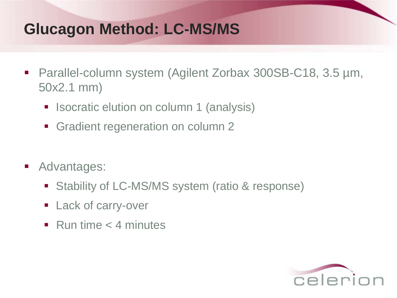# **Glucagon Method: LC-MS/MS**

- Parallel-column system (Agilent Zorbax 300SB-C18, 3.5 µm, 50x2.1 mm)
	- **In Isocratic elution on column 1 (analysis)**
	- Gradient regeneration on column 2
- **Advantages:** 
	- **Stability of LC-MS/MS system (ratio & response)**
	- **Lack of carry-over**
	- Run time  $<$  4 minutes

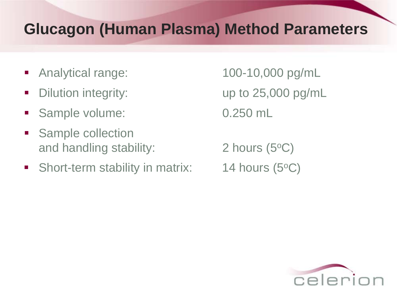## **Glucagon (Human Plasma) Method Parameters**

- Analytical range: 100-10,000 pg/mL
- 
- Sample volume: 0.250 mL
- **Sample collection** and handling stability:  $2 \text{ hours } (5^{\circ}C)$
- Short-term stability in matrix:  $14$  hours (5<sup>o</sup>C)

Dilution integrity: The up to 25,000 pg/mL

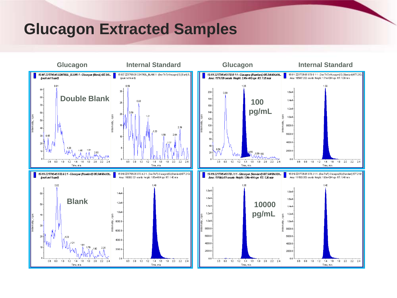#### **Glucagon Extracted Samples**

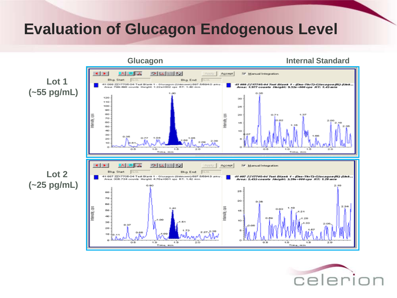#### **Evaluation of Glucagon Endogenous Level**



![](_page_12_Picture_2.jpeg)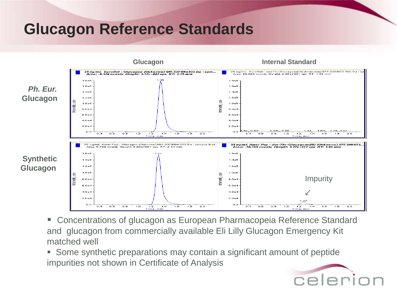## **Glucagon Reference Standards**

![](_page_13_Figure_1.jpeg)

■ Concentrations of glucagon as European Pharmacopeia Reference Standard and glucagon from commercially available Eli Lilly Glucagon Emergency Kit matched well

 Some synthetic preparations may contain a significant amount of peptide impurities not shown in Certificate of Analysis

![](_page_13_Picture_4.jpeg)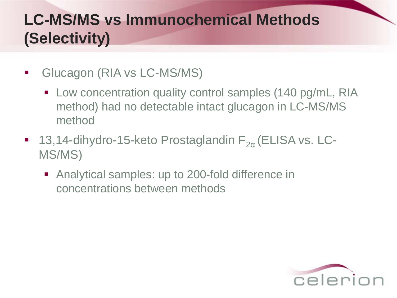# **LC-MS/MS vs Immunochemical Methods (Selectivity)**

- Glucagon (RIA vs LC-MS/MS)
	- Low concentration quality control samples (140 pg/mL, RIA method) had no detectable intact glucagon in LC-MS/MS method
- 13,14-dihydro-15-keto Prostaglandin  $F_{2\alpha}$  (ELISA vs. LC-MS/MS)
	- Analytical samples: up to 200-fold difference in concentrations between methods

![](_page_14_Picture_5.jpeg)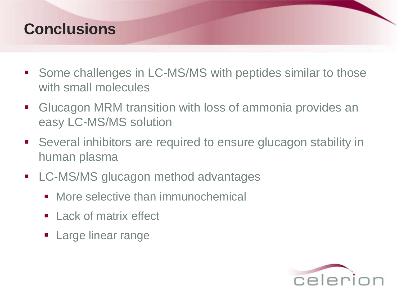#### **Conclusions**

- Some challenges in LC-MS/MS with peptides similar to those with small molecules
- **EXTE Glucagon MRM transition with loss of ammonia provides an** easy LC-MS/MS solution
- Several inhibitors are required to ensure glucagon stability in human plasma
- **LC-MS/MS glucagon method advantages** 
	- More selective than immunochemical
	- **Lack of matrix effect**
	- **Large linear range**

![](_page_15_Picture_8.jpeg)